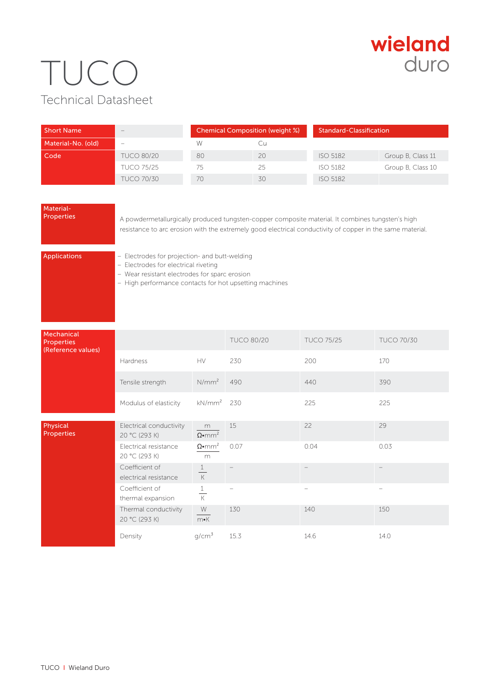## wieland duro

## TUCO Technical Datasheet

| <b>Short Name</b>  | $-$               | <b>Chemical Composition (weight %)</b> |    | Standard-Classification |                   |
|--------------------|-------------------|----------------------------------------|----|-------------------------|-------------------|
| Material-No. (old) | -                 | W                                      |    |                         |                   |
| Code               | <b>TUCO 80/20</b> | 80                                     | 20 | <b>ISO 5182</b>         | Group B, Class 11 |
|                    | <b>TUCO 75/25</b> | 75                                     | 25 | <b>ISO 5182</b>         | Group B, Class 10 |
|                    | <b>TUCO 70/30</b> | 70                                     | 30 | <b>ISO 5182</b>         |                   |

### Material-<br>Properties

A powdermetallurgically produced tungsten-copper composite material. It combines tungsten's high resistance to arc erosion with the extremely good electrical conductivity of copper in the same material.

Applications – Electrodes for projection- and butt-welding

– Electrodes for electrical riveting

– Wear resistant electrodes for sparc erosion

– High performance contacts for hot upsetting machines

| Mechanical<br>Properties<br>(Reference values) |                                          |                                | <b>TUCO 80/20</b> | <b>TUCO 75/25</b> | <b>TUCO 70/30</b> |
|------------------------------------------------|------------------------------------------|--------------------------------|-------------------|-------------------|-------------------|
|                                                | Hardness                                 | HV.                            | 230               | 200               | 170               |
|                                                | Tensile strength                         | $N/mm^2$                       | 490               | 440               | 390               |
|                                                | Modulus of elasticity                    | kN/mm <sup>2</sup>             | 230               | 225               | 225               |
| Physical<br><b>Properties</b>                  | Electrical conductivity<br>20 °C (293 K) | m<br>$\Omega \cdot mm^2$       | 15                | 22                | 29                |
|                                                | Electrical resistance<br>20 °C (293 K)   | $\Omega$ •mm <sup>2</sup><br>m | 0.07              | 0.04              | 0.03              |
|                                                | Coefficient of<br>electrical resistance  | $\mathbf{1}$<br>$\mathsf{K}$   |                   |                   |                   |
|                                                | Coefficient of<br>thermal expansion      | 1<br>$\overline{K}$            |                   | -                 | -                 |
|                                                | Thermal conductivity<br>20 °C (293 K)    | W<br>$m\nu K$                  | 130               | 140               | 150               |
|                                                | Density                                  | g/cm <sup>3</sup>              | 15.3              | 14.6              | 14.0              |